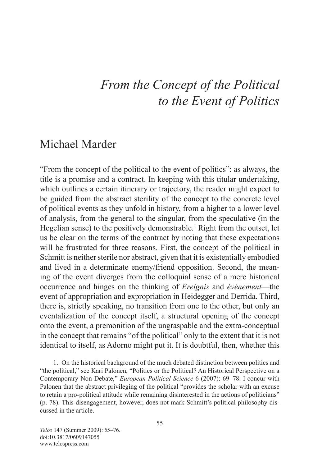# *From the Concept of the Political to the Event of Politics*

## Michael Marder

"From the concept of the political to the event of politics": as always, the title is a promise and a contract. In keeping with this titular undertaking, which outlines a certain itinerary or trajectory, the reader might expect to be guided from the abstract sterility of the concept to the concrete level of political events as they unfold in history, from a higher to a lower level of analysis, from the general to the singular, from the speculative (in the Hegelian sense) to the positively demonstrable.<sup>1</sup> Right from the outset, let us be clear on the terms of the contract by noting that these expectations will be frustrated for three reasons. First, the concept of the political in Schmitt is neither sterile nor abstract, given that it is existentially embodied and lived in a determinate enemy/friend opposition. Second, the meaning of the event diverges from the colloquial sense of a mere historical occurrence and hinges on the thinking of *Ereignis* and *événement*—the event of appropriation and expropriation in Heidegger and Derrida. Third, there is, strictly speaking, no transition from one to the other, but only an eventalization of the concept itself, a structural opening of the concept onto the event, a premonition of the ungraspable and the extra-conceptual in the concept that remains "of the political" only to the extent that it is not identical to itself, as Adorno might put it. It is doubtful, then, whether this

. On the historical background of the much debated distinction between politics and "the political," see Kari Palonen, "Politics or the Political? An Historical Perspective on a Contemporary Non-Debate," *European Political Science* 6 (2007): 69–78. I concur with Palonen that the abstract privileging of the political "provides the scholar with an excuse to retain a pro-political attitude while remaining disinterested in the actions of politicians" (p. 78). This disengagement, however, does not mark Schmitt's political philosophy discussed in the article.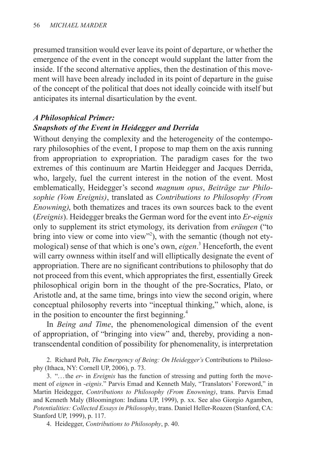presumed transition would ever leave its point of departure, or whether the emergence of the event in the concept would supplant the latter from the inside. If the second alternative applies, then the destination of this movement will have been already included in its point of departure in the guise of the concept of the political that does not ideally coincide with itself but anticipates its internal disarticulation by the event.

### *A Philosophical Primer: Snapshots of the Event in Heidegger and Derrida*

Without denying the complexity and the heterogeneity of the contemporary philosophies of the event, I propose to map them on the axis running from appropriation to expropriation. The paradigm cases for the two extremes of this continuum are Martin Heidegger and Jacques Derrida, who, largely, fuel the current interest in the notion of the event. Most emblematically, Heidegger's second *magnum opus*, *Beiträge zur Philosophie (Vom Ereignis)*, translated as *Contributions to Philosophy (From Enowning)*, both thematizes and traces its own sources back to the event (*Ereignis*). Heidegger breaks the German word for the event into *Er-eignis* only to supplement its strict etymology, its derivation from *eräugen* ("to bring into view or come into view"<sup>2</sup>), with the semantic (though not etymological) sense of that which is one's own, *eigen*.<sup>3</sup> Henceforth, the event will carry ownness within itself and will elliptically designate the event of appropriation. There are no significant contributions to philosophy that do not proceed from this event, which appropriates the first, essentially Greek philosophical origin born in the thought of the pre-Socratics, Plato, or Aristotle and, at the same time, brings into view the second origin, where conceptual philosophy reverts into "inceptual thinking," which, alone, is in the position to encounter the first beginning.

In *Being and Time*, the phenomenological dimension of the event of appropriation, of "bringing into view" and, thereby, providing a nontranscendental condition of possibility for phenomenality, is interpretation

. Richard Polt, *The Emergency of Being: On Heidegger's* Contributions to Philosophy (Ithaca, NY: Cornell UP, 2006), p. 73.

. ". ..the *er-* in *Ereignis* has the function of stressing and putting forth the movement of *eignen* in *-eignis*." Parvis Emad and Kenneth Maly, "Translators' Foreword," in Martin Heidegger, *Contributions to Philosophy (From Enowning)*, trans. Parvis Emad and Kenneth Maly (Bloomington: Indiana UP, 1999), p. xx. See also Giorgio Agamben, *Potentialities: Collected Essays in Philosophy*, trans. Daniel Heller-Roazen (Stanford, CA: Stanford UP, 1999), p. 117.

. Heidegger, *Contributions to Philosophy*, p. 40.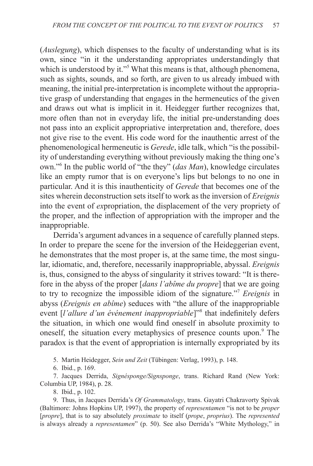(*Auslegung*), which dispenses to the faculty of understanding what is its own, since "in it the understanding appropriates understandingly that which is understood by it."<sup>5</sup> What this means is that, although phenomena, such as sights, sounds, and so forth, are given to us already imbued with meaning, the initial pre-interpretation is incomplete without the appropriative grasp of understanding that engages in the hermeneutics of the given and draws out what is implicit in it. Heidegger further recognizes that, more often than not in everyday life, the initial pre-understanding does not pass into an explicit appropriative interpretation and, therefore, does not give rise to the event. His code word for the inauthentic arrest of the phenomenological hermeneutic is *Gerede*, idle talk, which "is the possibility of understanding everything without previously making the thing one's own."<sup>6</sup> In the public world of "the they" (*das Man*), knowledge circulates like an empty rumor that is on everyone's lips but belongs to no one in particular. And it is this inauthenticity of *Gerede* that becomes one of the sites wherein deconstruction sets itself to work as the inversion of *Ereignis*  into the event of *ex*propriation, the displacement of the very propriety of the proper, and the inflection of appropriation with the improper and the inappropriable.

Derrida's argument advances in a sequence of carefully planned steps. In order to prepare the scene for the inversion of the Heideggerian event, he demonstrates that the most proper is, at the same time, the most singular, idiomatic, and, therefore, necessarily inappropriable, abyssal. *Ereignis*  is, thus, consigned to the abyss of singularity it strives toward: "It is therefore in the abyss of the proper [*dans l'abîme du propre*] that we are going to try to recognize the impossible idiom of the signature." *Ereignis* in abyss (*Ereignis en abîme*) seduces with "the allure of the inappropriable event [*l'allure d'un événement inappropriable*]"<sup>8</sup> that indefinitely defers the situation, in which one would find oneself in absolute proximity to oneself, the situation every metaphysics of presence counts upon.<sup>9</sup> The paradox is that the event of appropriation is internally expropriated by its

. Martin Heidegger, *Sein und Zeit* (Tübingen: Verlag, 1993), p. 148.

. Ibid., p. 169.

. Jacques Derrida, *Signésponge/Signsponge*, trans. Richard Rand (New York: Columbia UP, 1984), p. 28.

. Ibid., p. 102.

. Thus, in Jacques Derrida's *Of Grammatology*, trans. Gayatri Chakravorty Spivak (Baltimore: Johns Hopkins UP, 1997), the property of *representamen* "is not to be *proper*  [*propre*], that is to say absolutely *proximate* to itself (*prope*, *proprius*). The *represented*  is always already a *representamen*" (p. 50). See also Derrida's "White Mythology," in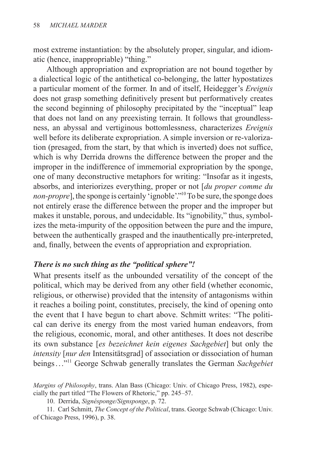most extreme instantiation: by the absolutely proper, singular, and idiomatic (hence, inappropriable) "thing."

Although appropriation and expropriation are not bound together by a dialectical logic of the antithetical co-belonging, the latter hypostatizes a particular moment of the former. In and of itself, Heidegger's *Ereignis*  does not grasp something definitively present but performatively creates the second beginning of philosophy precipitated by the "inceptual" leap that does not land on any preexisting terrain. It follows that groundlessness, an abyssal and vertiginous bottomlessness, characterizes *Ereignis* well before its deliberate expropriation. A simple inversion or re-valorization (presaged, from the start, by that which is inverted) does not suffice, which is why Derrida drowns the difference between the proper and the improper in the indifference of immemorial expropriation by the sponge, one of many deconstructive metaphors for writing: "Insofar as it ingests, absorbs, and interiorizes everything, proper or not [*du proper comme du*  non-propre], the sponge is certainly 'ignoble'."<sup>10</sup> To be sure, the sponge does not entirely erase the difference between the proper and the improper but makes it unstable, porous, and undecidable. Its "ignobility," thus, symbolizes the meta-impurity of the opposition between the pure and the impure, between the authentically grasped and the inauthentically pre-interpreted, and, finally, between the events of appropriation and expropriation.

#### *There is no such thing as the "political sphere"!*

What presents itself as the unbounded versatility of the concept of the political, which may be derived from any other field (whether economic, religious, or otherwise) provided that the intensity of antagonisms within it reaches a boiling point, constitutes, precisely, the kind of opening onto the event that I have begun to chart above. Schmitt writes: "The political can derive its energy from the most varied human endeavors, from the religious, economic, moral, and other antitheses. It does not describe its own substance [*es bezeichnet kein eigenes Sachgebiet*] but only the *intensity* [*nur den* Intensitätsgrad] of association or dissociation of human beings..."11 George Schwab generally translates the German *Sachgebiet* 

*Margins of Philosophy*, trans. Alan Bass (Chicago: Univ. of Chicago Press, 1982), especially the part titled "The Flowers of Rhetoric," pp. 245–57.

10. Derrida, *Signésponge/Signsponge*, p. 72.

11. Carl Schmitt, *The Concept of the Political*, trans. George Schwab (Chicago: Univ. of Chicago Press, 1996), p. 38.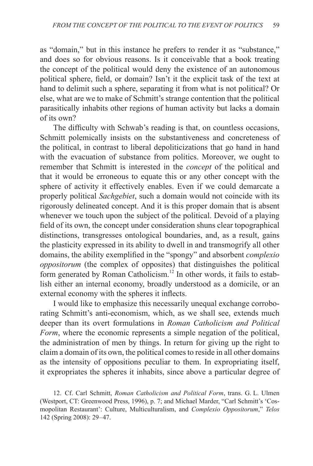as "domain," but in this instance he prefers to render it as "substance," and does so for obvious reasons. Is it conceivable that a book treating the concept of the political would deny the existence of an autonomous political sphere, field, or domain? Isn't it the explicit task of the text at hand to delimit such a sphere, separating it from what is not political? Or else, what are we to make of Schmitt's strange contention that the political parasitically inhabits other regions of human activity but lacks a domain of its own?

The difficulty with Schwab's reading is that, on countless occasions, Schmitt polemically insists on the substantiveness and concreteness of the political, in contrast to liberal depoliticizations that go hand in hand with the evacuation of substance from politics. Moreover, we ought to remember that Schmitt is interested in the *concept* of the political and that it would be erroneous to equate this or any other concept with the sphere of activity it effectively enables. Even if we could demarcate a properly political *Sachgebiet*, such a domain would not coincide with its rigorously delineated concept. And it is this proper domain that is absent whenever we touch upon the subject of the political. Devoid of a playing field of its own, the concept under consideration shuns clear topographical distinctions, transgresses ontological boundaries, and, as a result, gains the plasticity expressed in its ability to dwell in and transmogrify all other domains, the ability exemplified in the "spongy" and absorbent *complexio oppositorum* (the complex of opposites) that distinguishes the political form generated by Roman Catholicism.<sup>12</sup> In other words, it fails to establish either an internal economy, broadly understood as a domicile, or an external economy with the spheres it inflects.

I would like to emphasize this necessarily unequal exchange corroborating Schmitt's anti-economism, which, as we shall see, extends much deeper than its overt formulations in *Roman Catholicism and Political Form*, where the economic represents a simple negation of the political, the administration of men by things. In return for giving up the right to claim a domain of its own, the political comes to reside in all other domains as the intensity of oppositions peculiar to them. In expropriating itself, it expropriates the spheres it inhabits, since above a particular degree of

<sup>12.</sup> Cf. Carl Schmitt, *Roman Catholicism and Political Form*, trans. G. L. Ulmen (Westport, CT: Greenwood Press, 1996), p. 7; and Michael Marder, "Carl Schmitt's 'Cosmopolitan Restaurant': Culture, Multiculturalism, and *Complexio Oppositorum*," *Telos* 142 (Spring 2008): 29–47.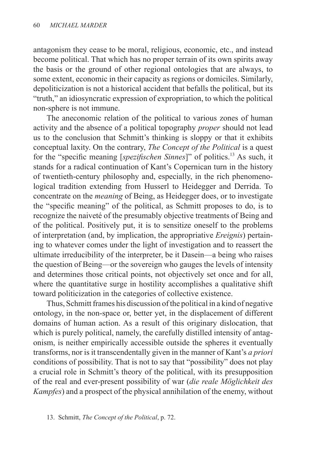antagonism they cease to be moral, religious, economic, etc., and instead become political. That which has no proper terrain of its own spirits away the basis or the ground of other regional ontologies that are always, to some extent, economic in their capacity as regions or domiciles. Similarly, depoliticization is not a historical accident that befalls the political, but its "truth," an idiosyncratic expression of expropriation, to which the political non-sphere is not immune.

The aneconomic relation of the political to various zones of human activity and the absence of a political topography *proper* should not lead us to the conclusion that Schmitt's thinking is sloppy or that it exhibits conceptual laxity. On the contrary, *The Concept of the Political* is a quest for the "specific meaning [*spezifischen Sinnes*]" of politics.13 As such, it stands for a radical continuation of Kant's Copernican turn in the history of twentieth-century philosophy and, especially, in the rich phenomenological tradition extending from Husserl to Heidegger and Derrida. To concentrate on the *meaning* of Being, as Heidegger does, or to investigate the "specific meaning" of the political, as Schmitt proposes to do, is to recognize the naiveté of the presumably objective treatments of Being and of the political. Positively put, it is to sensitize oneself to the problems of interpretation (and, by implication, the appropriative *Ereignis*) pertaining to whatever comes under the light of investigation and to reassert the ultimate irreducibility of the interpreter, be it Dasein—a being who raises the question of Being—or the sovereign who gauges the levels of intensity and determines those critical points, not objectively set once and for all, where the quantitative surge in hostility accomplishes a qualitative shift toward politicization in the categories of collective existence.

Thus, Schmitt frames his discussion of the political in a kind of negative ontology, in the non-space or, better yet, in the displacement of different domains of human action. As a result of this originary dislocation, that which is purely political, namely, the carefully distilled intensity of antagonism, is neither empirically accessible outside the spheres it eventually transforms, nor is it transcendentally given in the manner of Kant's *a priori*  conditions of possibility. That is not to say that "possibility" does not play a crucial role in Schmitt's theory of the political, with its presupposition of the real and ever-present possibility of war (*die reale Möglichkeit des Kampfes*) and a prospect of the physical annihilation of the enemy, without

<sup>13.</sup> Schmitt, *The Concept of the Political*, p. 72.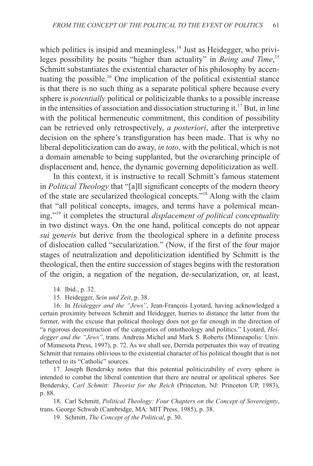which politics is insipid and meaningless.<sup>14</sup> Just as Heidegger, who privileges possibility he posits "higher than actuality" in *Being and Time*,<sup>15</sup> Schmitt substantiates the existential character of his philosophy by accentuating the possible.<sup>16</sup> One implication of the political existential stance is that there is no such thing as a separate political sphere because every sphere is *potentially* political or politicizable thanks to a possible increase in the intensities of association and dissociation structuring it.<sup>17</sup> But, in line with the political hermeneutic commitment, this condition of possibility can be retrieved only retrospectively, *a posteriori*, after the interpretive decision on the sphere's transfiguration has been made. That is why no liberal depoliticization can do away, *in toto*, with the political, which is not a domain amenable to being supplanted, but the overarching principle of displacement and, hence, the dynamic governing depoliticization as well.

In this context, it is instructive to recall Schmitt's famous statement in *Political Theology* that "[a]ll significant concepts of the modern theory of the state are secularized theological concepts."<sup>18</sup> Along with the claim that "all political concepts, images, and terms have a polemical meaning,"19 it completes the structural *displacement of political conceptuality*  in two distinct ways. On the one hand, political concepts do not appear *sui generis* but derive from the theological sphere in a definite process of dislocation called "secularization." (Now, if the first of the four major stages of neutralization and depoliticization identified by Schmitt is the theological, then the entire succession of stages begins with the restoration of the origin, a negation of the negation, de-secularization, or, at least,

- 14. Ibid., p. 32.
- 15. Heidegger, *Sein und Zeit*, p. 38.

16. In *Heidegger and the "Jews"*, Jean-François Lyotard, having acknowledged a certain proximity between Schmitt and Heidegger, hurries to distance the latter from the former, with the excuse that political theology does not go far enough in the direction of "a rigorous deconstruction of the categories of ontotheology and politics." Lyotard, *Heidegger and the "Jews"*, trans. Andreas Michel and Mark S. Roberts (Minneapolis: Univ. of Minnesota Press, 1997), p. 72. As we shall see, Derrida perpetuates this way of treating Schmitt that remains oblivious to the existential character of his political thought that is not tethered to its "Catholic" sources.

17. Joseph Bendersky notes that this potential politicizability of every sphere is intended to combat the liberal contention that there are neutral or apolitical spheres. See Bendersky, *Carl Schmitt: Theorist for the Reich* (Princeton, NJ: Princeton UP, 1983), p. 88.

18. Carl Schmitt, *Political Theology: Four Chapters on the Concept of Sovereignty*, trans. George Schwab (Cambridge, MA: MIT Press, 1985), p. 38.

19. Schmitt, *The Concept of the Political*, p. 30.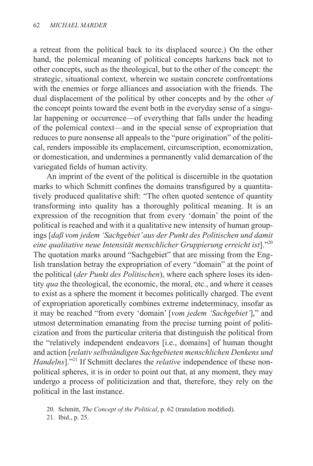a retreat from the political back to its displaced source.) On the other hand, the polemical meaning of political concepts harkens back not to other concepts, such as the theological, but to the other of the concept: the strategic, situational context, wherein we sustain concrete confrontations with the enemies or forge alliances and association with the friends. The dual displacement of the political by other concepts and by the other *of* the concept points toward the event both in the everyday sense of a singular happening or occurrence—of everything that falls under the heading of the polemical context—and in the special sense of expropriation that reduces to pure nonsense all appeals to the "pure origination" of the political, renders impossible its emplacement, circumscription, economization, or domestication, and undermines a permanently valid demarcation of the variegated fields of human activity.

An imprint of the event of the political is discernible in the quotation marks to which Schmitt confines the domains transfigured by a quantitatively produced qualitative shift: "The often quoted sentence of quantity transforming into quality has a thoroughly political meaning. It is an expression of the recognition that from every 'domain' the point of the political is reached and with it a qualitative new intensity of human groupings [*daß vom jedem 'Sachgebiet' aus der Punkt des Politischen und damit eine qualitative neue Intensität menschlicher Gruppierung erreicht ist*]."20 The quotation marks around "Sachgebiet" that are missing from the English translation betray the expropriation of every "domain" at the point of the political (*der Punkt des Politischen*), where each sphere loses its identity *qua* the theological, the economic, the moral, etc., and where it ceases to exist as a sphere the moment it becomes politically charged. The event of expropriation aporetically combines extreme indeterminacy, insofar as it may be reached "from every 'domain' [*vom jedem 'Sachgebiet'*]," and utmost determination emanating from the precise turning point of politicization and from the particular criteria that distinguish the political from the "relatively independent endeavors [i.e., domains] of human thought and action [*relativ selbständigen Sachgebieten menschlichen Denkens und*  Handelns]."<sup>21</sup> If Schmitt declares the *relative* independence of these nonpolitical spheres, it is in order to point out that, at any moment, they may undergo a process of politicization and that, therefore, they rely on the political in the last instance.

<sup>20.</sup> Schmitt, *The Concept of the Political*, p. 62 (translation modified).

<sup>21.</sup> Ibid., p. 25.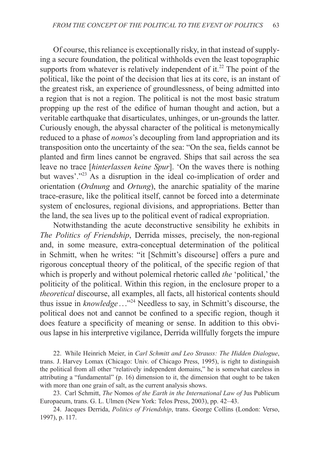Of course, this reliance is exceptionally risky, in that instead of supplying a secure foundation, the political withholds even the least topographic supports from whatever is relatively independent of it.<sup>22</sup> The point of the political, like the point of the decision that lies at its core, is an instant of the greatest risk, an experience of groundlessness, of being admitted into a region that is not a region. The political is not the most basic stratum propping up the rest of the edifice of human thought and action, but a veritable earthquake that disarticulates, unhinges, or un-grounds the latter. Curiously enough, the abyssal character of the political is metonymically reduced to a phase of *nomos*'s decoupling from land appropriation and its transposition onto the uncertainty of the sea: "On the sea, fields cannot be planted and firm lines cannot be engraved. Ships that sail across the sea leave no trace [*hinterlassen keine Spur*]. 'On the waves there is nothing but waves'."23 As a disruption in the ideal co-implication of order and orientation (*Ordnung* and *Ortung*), the anarchic spatiality of the marine trace-erasure, like the political itself, cannot be forced into a determinate system of enclosures, regional divisions, and appropriations. Better than the land, the sea lives up to the political event of radical expropriation.

Notwithstanding the acute deconstructive sensibility he exhibits in *The Politics of Friendship*, Derrida misses, precisely, the non-regional and, in some measure, extra-conceptual determination of the political in Schmitt, when he writes: "it [Schmitt's discourse] offers a pure and rigorous conceptual theory of the political, of the specific region of that which is properly and without polemical rhetoric called *the* 'political,' the politicity of the political. Within this region, in the enclosure proper to a *theoretical* discourse, all examples, all facts, all historical contents should thus issue in *knowledge* ..."24 Needless to say, in Schmitt's discourse, the political does not and cannot be confined to a specific region, though it does feature a specificity of meaning or sense. In addition to this obvious lapse in his interpretive vigilance, Derrida willfully forgets the impure

22. While Heinrich Meier, in *Carl Schmitt and Leo Strauss: The Hidden Dialogue*, trans. J. Harvey Lomax (Chicago: Univ. of Chicago Press, 1995), is right to distinguish the political from all other "relatively independent domains," he is somewhat careless in attributing a "fundamental" (p. 16) dimension to it, the dimension that ought to be taken with more than one grain of salt, as the current analysis shows.

23. Carl Schmitt, *The* Nomos *of the Earth in the International Law of* Jus Publicum Europaeum, trans. G. L. Ulmen (New York: Telos Press, 2003), pp. 42–43.

24. Jacques Derrida, *Politics of Friendship*, trans. George Collins (London: Verso, 1997), p. 117.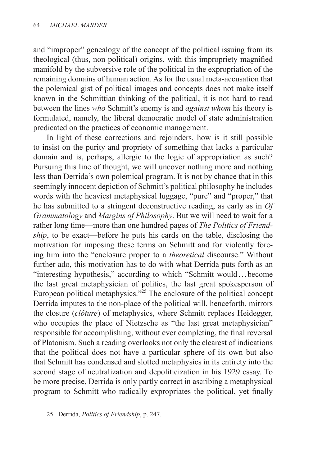and "improper" genealogy of the concept of the political issuing from its theological (thus, non-political) origins, with this impropriety magnified manifold by the subversive role of the political in the expropriation of the remaining domains of human action. As for the usual meta-accusation that the polemical gist of political images and concepts does not make itself known in the Schmittian thinking of the political, it is not hard to read between the lines *who* Schmitt's enemy is and *against whom* his theory is formulated, namely, the liberal democratic model of state administration predicated on the practices of economic management.

In light of these corrections and rejoinders, how is it still possible to insist on the purity and propriety of something that lacks a particular domain and is, perhaps, allergic to the logic of appropriation as such? Pursuing this line of thought, we will uncover nothing more and nothing less than Derrida's own polemical program. It is not by chance that in this seemingly innocent depiction of Schmitt's political philosophy he includes words with the heaviest metaphysical luggage, "pure" and "proper," that he has submitted to a stringent deconstructive reading, as early as in *Of Grammatology* and *Margins of Philosophy*. But we will need to wait for a rather long time—more than one hundred pages of *The Politics of Friendship*, to be exact—before he puts his cards on the table, disclosing the motivation for imposing these terms on Schmitt and for violently forcing him into the "enclosure proper to a *theoretical* discourse." Without further ado, this motivation has to do with what Derrida puts forth as an "interesting hypothesis," according to which "Schmitt would ... become the last great metaphysician of politics, the last great spokesperson of European political metaphysics."<sup>25</sup> The enclosure of the political concept Derrida imputes to the non-place of the political will, henceforth, mirrors the closure (*clôture*) of metaphysics, where Schmitt replaces Heidegger, who occupies the place of Nietzsche as "the last great metaphysician" responsible for accomplishing, without ever completing, the final reversal of Platonism. Such a reading overlooks not only the clearest of indications that the political does not have a particular sphere of its own but also that Schmitt has condensed and slotted metaphysics in its entirety into the second stage of neutralization and depoliticization in his 1929 essay. To be more precise, Derrida is only partly correct in ascribing a metaphysical program to Schmitt who radically expropriates the political, yet finally

<sup>25.</sup> Derrida, *Politics of Friendship*, p. 247.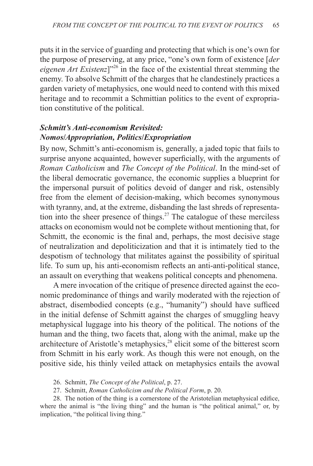puts it in the service of guarding and protecting that which is one's own for the purpose of preserving, at any price, "one's own form of existence [*der eigenen Art Existenz*]"26 in the face of the existential threat stemming the enemy. To absolve Schmitt of the charges that he clandestinely practices a garden variety of metaphysics, one would need to contend with this mixed heritage and to recommit a Schmittian politics to the event of expropriation constitutive of the political.

#### *Schmitt's Anti-economism Revisited: Nomos***/***Appropriation, Politics***/***Expropriation*

By now, Schmitt's anti-economism is, generally, a jaded topic that fails to surprise anyone acquainted, however superficially, with the arguments of *Roman Catholicism* and *The Concept of the Political*. In the mind-set of the liberal democratic governance, the economic supplies a blueprint for the impersonal pursuit of politics devoid of danger and risk, ostensibly free from the element of decision-making, which becomes synonymous with tyranny, and, at the extreme, disbanding the last shreds of representation into the sheer presence of things.<sup>27</sup> The catalogue of these merciless attacks on economism would not be complete without mentioning that, for Schmitt, the economic is the final and, perhaps, the most decisive stage of neutralization and depoliticization and that it is intimately tied to the despotism of technology that militates against the possibility of spiritual life. To sum up, his anti-economism reflects an anti-anti-political stance, an assault on everything that weakens political concepts and phenomena.

A mere invocation of the critique of presence directed against the economic predominance of things and warily moderated with the rejection of abstract, disembodied concepts (e.g., "humanity") should have sufficed in the initial defense of Schmitt against the charges of smuggling heavy metaphysical luggage into his theory of the political. The notions of the human and the thing, two facets that, along with the animal, make up the architecture of Aristotle's metaphysics,<sup>28</sup> elicit some of the bitterest scorn from Schmitt in his early work. As though this were not enough, on the positive side, his thinly veiled attack on metaphysics entails the avowal

26. Schmitt, *The Concept of the Political*, p. 27.

27. Schmitt, *Roman Catholicism and the Political Form*, p. 20.

28. The notion of the thing is a cornerstone of the Aristotelian metaphysical edifice, where the animal is "the living thing" and the human is "the political animal," or, by implication, "the political living thing."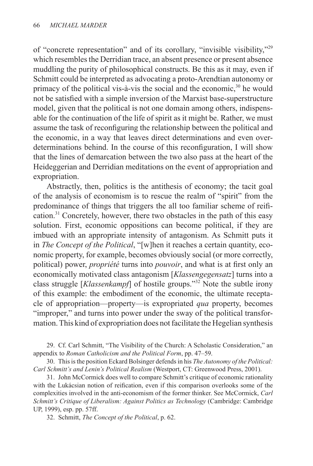of "concrete representation" and of its corollary, "invisible visibility,"<sup>29</sup> which resembles the Derridian trace, an absent presence or present absence muddling the purity of philosophical constructs. Be this as it may, even if Schmitt could be interpreted as advocating a proto-Arendtian autonomy or primacy of the political vis-à-vis the social and the economic, $30$  he would not be satisfied with a simple inversion of the Marxist base-superstructure model, given that the political is not one domain among others, indispensable for the continuation of the life of spirit as it might be. Rather, we must assume the task of reconfiguring the relationship between the political and the economic, in a way that leaves direct determinations and even overdeterminations behind. In the course of this reconfiguration, I will show that the lines of demarcation between the two also pass at the heart of the Heideggerian and Derridian meditations on the event of appropriation and expropriation.

Abstractly, then, politics is the antithesis of economy; the tacit goal of the analysis of economism is to rescue the realm of "spirit" from the predominance of things that triggers the all too familiar scheme of reification.<sup>31</sup> Concretely, however, there two obstacles in the path of this easy solution. First, economic oppositions can become political, if they are imbued with an appropriate intensity of antagonism. As Schmitt puts it in *The Concept of the Political*, "[w]hen it reaches a certain quantity, economic property, for example, becomes obviously social (or more correctly, political) power, *propriété* turns into *pouvoir*, and what is at first only an economically motivated class antagonism [*Klassengegensatz*] turns into a class struggle [*Klassenkampf*] of hostile groups."32 Note the subtle irony of this example: the embodiment of the economic, the ultimate receptacle of appropriation—property—is expropriated *qua* property, becomes "improper," and turns into power under the sway of the political transformation. This kind of expropriation does not facilitate the Hegelian synthesis

29. Cf. Carl Schmitt, "The Visibility of the Church: A Scholastic Consideration," an appendix to *Roman Catholicism and the Political Form*, pp. 47–59.

30. This is the position Eckard Bolsinger defends in his *The Autonomy of the Political: Carl Schmitt's and Lenin's Political Realism* (Westport, CT: Greenwood Press, 2001).

31. John McCormick does well to compare Schmitt's critique of economic rationality with the Lukácsian notion of reification, even if this comparison overlooks some of the complexities involved in the anti-economism of the former thinker. See McCormick, *Carl Schmitt's Critique of Liberalism: Against Politics as Technology* (Cambridge: Cambridge UP, 1999), esp. pp. 57ff.

32. Schmitt, *The Concept of the Political*, p. 62.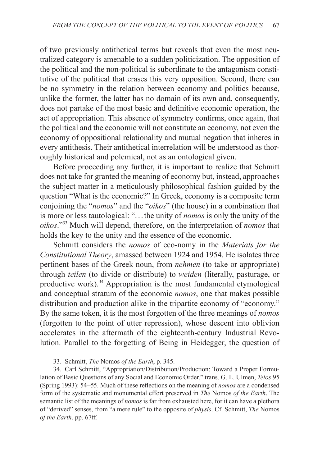of two previously antithetical terms but reveals that even the most neutralized category is amenable to a sudden politicization. The opposition of the political and the non-political is subordinate to the antagonism constitutive of the political that erases this very opposition. Second, there can be no symmetry in the relation between economy and politics because, unlike the former, the latter has no domain of its own and, consequently, does not partake of the most basic and definitive economic operation, the act of appropriation. This absence of symmetry confirms, once again, that the political and the economic will not constitute an economy, not even the economy of oppositional relationality and mutual negation that inheres in every antithesis. Their antithetical interrelation will be understood as thoroughly historical and polemical, not as an ontological given.

Before proceeding any further, it is important to realize that Schmitt does not take for granted the meaning of economy but, instead, approaches the subject matter in a meticulously philosophical fashion guided by the question "What is the economic?" In Greek, economy is a composite term conjoining the "*nomos*" and the "*oikos*" (the house) in a combination that is more or less tautological: ". ..the unity of *nomos* is only the unity of the *oikos*."33 Much will depend, therefore, on the interpretation of *nomos* that holds the key to the unity and the essence of the economic.

Schmitt considers the *nomos* of eco-nomy in the *Materials for the Constitutional Theory*, amassed between 1924 and 1954. He isolates three pertinent bases of the Greek noun, from *nehmen* (to take or appropriate) through *teilen* (to divide or distribute) to *weiden* (literally, pasturage, or productive work).<sup>34</sup> Appropriation is the most fundamental etymological and conceptual stratum of the economic *nomos*, one that makes possible distribution and production alike in the tripartite economy of "economy." By the same token, it is the most forgotten of the three meanings of *nomos*  (forgotten to the point of utter repression), whose descent into oblivion accelerates in the aftermath of the eighteenth-century Industrial Revolution. Parallel to the forgetting of Being in Heidegger, the question of

33. Schmitt, *The* Nomos *of the Earth*, p. 345.

34. Carl Schmitt, "Appropriation/Distribution/Production: Toward a Proper Formulation of Basic Questions of any Social and Economic Order," trans. G. L. Ulmen, *Telos* 95 (Spring 1993): 54–55. Much of these reflections on the meaning of *nomos* are a condensed form of the systematic and monumental effort preserved in *The* Nomos *of the Earth*. The semantic list of the meanings of *nomos* is far from exhausted here, for it can have a plethora of "derived" senses, from "a mere rule" to the opposite of *physis*. Cf. Schmitt, *The* Nomos *of the Earth*, pp. 67ff.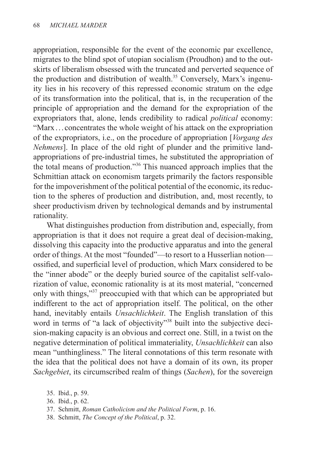appropriation, responsible for the event of the economic par excellence, migrates to the blind spot of utopian socialism (Proudhon) and to the outskirts of liberalism obsessed with the truncated and perverted sequence of the production and distribution of wealth.<sup>35</sup> Conversely, Marx's ingenuity lies in his recovery of this repressed economic stratum on the edge of its transformation into the political, that is, in the recuperation of the principle of appropriation and the demand for the expropriation of the expropriators that, alone, lends credibility to radical *political* economy: "Marx. . . concentrates the whole weight of his attack on the expropriation of the expropriators, i.e., on the procedure of appropriation [*Vorgang des Nehmens*]. In place of the old right of plunder and the primitive landappropriations of pre-industrial times, he substituted the appropriation of the total means of production."36 This nuanced approach implies that the Schmittian attack on economism targets primarily the factors responsible for the impoverishment of the political potential of the economic, its reduction to the spheres of production and distribution, and, most recently, to sheer productivism driven by technological demands and by instrumental rationality.

What distinguishes production from distribution and, especially, from appropriation is that it does not require a great deal of decision-making, dissolving this capacity into the productive apparatus and into the general order of things. At the most "founded"—to resort to a Husserlian notion ossified, and superficial level of production, which Marx considered to be the "inner abode" or the deeply buried source of the capitalist self-valorization of value, economic rationality is at its most material, "concerned only with things,"37 preoccupied with that which can be appropriated but indifferent to the act of appropriation itself. The political, on the other hand, inevitably entails *Unsachlichkeit*. The English translation of this word in terms of "a lack of objectivity"<sup>38</sup> built into the subjective decision-making capacity is an obvious and correct one. Still, in a twist on the negative determination of political immateriality, *Unsachlichkeit* can also mean "unthingliness." The literal connotations of this term resonate with the idea that the political does not have a domain of its own, its proper *Sachgebiet*, its circumscribed realm of things (*Sachen*), for the sovereign

- 37. Schmitt, *Roman Catholicism and the Political Form*, p. 16.
- 38. Schmitt, *The Concept of the Political*, p. 32.

<sup>35.</sup> Ibid., p. 59.

<sup>36.</sup> Ibid., p. 62.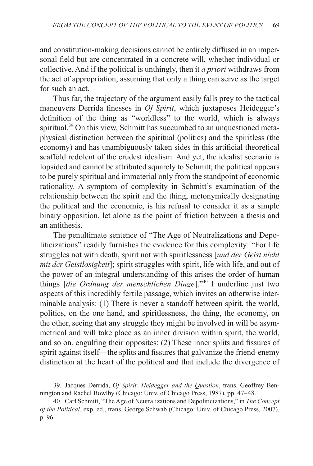and constitution-making decisions cannot be entirely diffused in an impersonal field but are concentrated in a concrete will, whether individual or collective. And if the political is unthingly, then it *a priori* withdraws from the act of appropriation, assuming that only a thing can serve as the target for such an act.

Thus far, the trajectory of the argument easily falls prey to the tactical maneuvers Derrida finesses in *Of Spirit*, which juxtaposes Heidegger's definition of the thing as "worldless" to the world, which is always spiritual.<sup>39</sup> On this view, Schmitt has succumbed to an unquestioned metaphysical distinction between the spiritual (politics) and the spiritless (the economy) and has unambiguously taken sides in this artificial theoretical scaffold redolent of the crudest idealism. And yet, the idealist scenario is lopsided and cannot be attributed squarely to Schmitt; the political appears to be purely spiritual and immaterial only from the standpoint of economic rationality. A symptom of complexity in Schmitt's examination of the relationship between the spirit and the thing, metonymically designating the political and the economic, is his refusal to consider it as a simple binary opposition, let alone as the point of friction between a thesis and an antithesis.

The penultimate sentence of "The Age of Neutralizations and Depoliticizations" readily furnishes the evidence for this complexity: "For life struggles not with death, spirit not with spiritlessness [*und der Geist nicht mit der Geistlosigkeit*]; spirit struggles with spirit, life with life, and out of the power of an integral understanding of this arises the order of human things [*die Ordnung der menschlichen Dinge*]."40 I underline just two aspects of this incredibly fertile passage, which invites an otherwise interminable analysis: (1) There is never a standoff between spirit, the world, politics, on the one hand, and spiritlessness, the thing, the economy, on the other, seeing that any struggle they might be involved in will be asymmetrical and will take place as an inner division within spirit, the world, and so on, engulfing their opposites; (2) These inner splits and fissures of spirit against itself—the splits and fissures that galvanize the friend-enemy distinction at the heart of the political and that include the divergence of

39. Jacques Derrida, *Of Spirit: Heidegger and the Question*, trans. Geoffrey Bennington and Rachel Bowlby (Chicago: Univ. of Chicago Press, 1987), pp. 47–48.

40. Carl Schmitt, "The Age of Neutralizations and Depoliticizations," in *The Concept of the Political*, exp. ed., trans. George Schwab (Chicago: Univ. of Chicago Press, 2007), p. 96.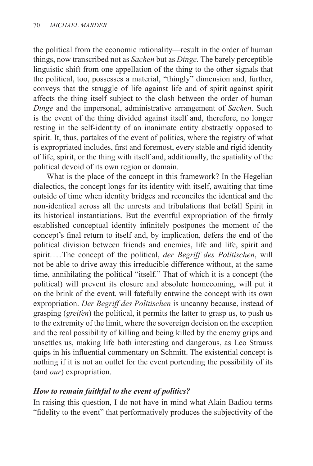the political from the economic rationality—result in the order of human things, now transcribed not as *Sachen* but as *Dinge*. The barely perceptible linguistic shift from one appellation of the thing to the other signals that the political, too, possesses a material, "thingly" dimension and, further, conveys that the struggle of life against life and of spirit against spirit affects the thing itself subject to the clash between the order of human *Dinge* and the impersonal, administrative arrangement of *Sachen*. Such is the event of the thing divided against itself and, therefore, no longer resting in the self-identity of an inanimate entity abstractly opposed to spirit. It, thus, partakes of the event of politics, where the registry of what is expropriated includes, first and foremost, every stable and rigid identity of life, spirit, or the thing with itself and, additionally, the spatiality of the political devoid of its own region or domain.

What is the place of the concept in this framework? In the Hegelian dialectics, the concept longs for its identity with itself, awaiting that time outside of time when identity bridges and reconciles the identical and the non-identical across all the unrests and tribulations that befall Spirit in its historical instantiations. But the eventful expropriation of the firmly established conceptual identity infinitely postpones the moment of the concept's final return to itself and, by implication, defers the end of the political division between friends and enemies, life and life, spirit and spirit. ...The concept of the political, *der Begriff des Politischen*, will not be able to drive away this irreducible difference without, at the same time, annihilating the political "itself." That of which it is a concept (the political) will prevent its closure and absolute homecoming, will put it on the brink of the event, will fatefully entwine the concept with its own expropriation. *Der Begriff des Politischen* is uncanny because, instead of grasping (*greifen*) the political, it permits the latter to grasp us, to push us to the extremity of the limit, where the sovereign decision on the exception and the real possibility of killing and being killed by the enemy grips and unsettles us, making life both interesting and dangerous, as Leo Strauss quips in his influential commentary on Schmitt. The existential concept is nothing if it is not an outlet for the event portending the possibility of its (and *our*) expropriation.

#### *How to remain faithful to the event of politics?*

In raising this question, I do not have in mind what Alain Badiou terms "fidelity to the event" that performatively produces the subjectivity of the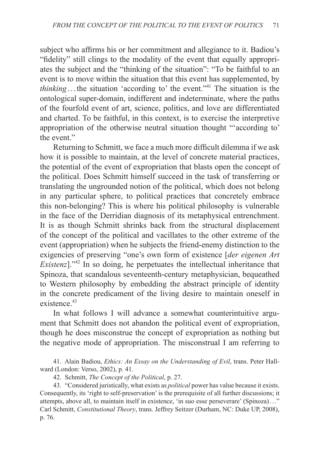subject who affirms his or her commitment and allegiance to it. Badiou's "fidelity" still clings to the modality of the event that equally appropriates the subject and the "thinking of the situation": "To be faithful to an event is to move within the situation that this event has supplemented, by *thinking*...the situation 'according to' the event."<sup>41</sup> The situation is the ontological super-domain, indifferent and indeterminate, where the paths of the fourfold event of art, science, politics, and love are differentiated and charted. To be faithful, in this context, is to exercise the interpretive appropriation of the otherwise neutral situation thought "'according to' the event."

Returning to Schmitt, we face a much more difficult dilemma if we ask how it is possible to maintain, at the level of concrete material practices, the potential of the event of expropriation that blasts open the concept of the political. Does Schmitt himself succeed in the task of transferring or translating the ungrounded notion of the political, which does not belong in any particular sphere, to political practices that concretely embrace this non-belonging? This is where his political philosophy is vulnerable in the face of the Derridian diagnosis of its metaphysical entrenchment. It is as though Schmitt shrinks back from the structural displacement of the concept of the political and vacillates to the other extreme of the event (appropriation) when he subjects the friend-enemy distinction to the exigencies of preserving "one's own form of existence [*der eigenen Art Existenz*]."<sup>42</sup> In so doing, he perpetuates the intellectual inheritance that Spinoza, that scandalous seventeenth-century metaphysician, bequeathed to Western philosophy by embedding the abstract principle of identity in the concrete predicament of the living desire to maintain oneself in existence $43$ 

In what follows I will advance a somewhat counterintuitive argument that Schmitt does not abandon the political event of expropriation, though he does misconstrue the concept of expropriation as nothing but the negative mode of appropriation. The misconstrual I am referring to

41. Alain Badiou, *Ethics: An Essay on the Understanding of Evil*, trans. Peter Hallward (London: Verso, 2002), p. 41.

42. Schmitt, *The Concept of the Political*, p. 27.

43. "Considered juristically, what exists as *political* power has value because it exists. Consequently, its 'right to self-preservation' is the prerequisite of all further discussions; it attempts, above all, to maintain itself in existence, 'in suo esse perseverare' (Spinoza)..." Carl Schmitt, *Constitutional Theory*, trans. Jeffrey Seitzer (Durham, NC: Duke UP, 2008), p. 76.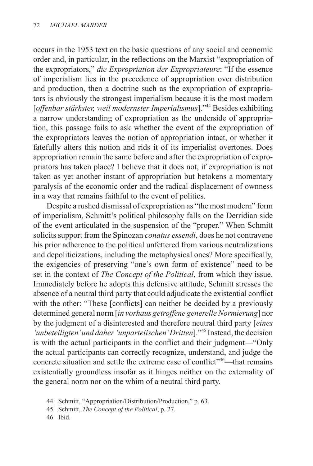occurs in the 1953 text on the basic questions of any social and economic order and, in particular, in the reflections on the Marxist "expropriation of the expropriators," *die Expropriation der Expropriateure*: "If the essence of imperialism lies in the precedence of appropriation over distribution and production, then a doctrine such as the expropriation of expropriators is obviously the strongest imperialism because it is the most modern [*offenbar stärkster, weil modernster Imperialismus*]."44 Besides exhibiting a narrow understanding of expropriation as the underside of appropriation, this passage fails to ask whether the event of the expropriation of the expropriators leaves the notion of appropriation intact, or whether it fatefully alters this notion and rids it of its imperialist overtones. Does appropriation remain the same before and after the expropriation of expropriators has taken place? I believe that it does not, if expropriation is not taken as yet another instant of appropriation but betokens a momentary paralysis of the economic order and the radical displacement of ownness in a way that remains faithful to the event of politics.

Despite a rushed dismissal of expropriation as "the most modern" form of imperialism, Schmitt's political philosophy falls on the Derridian side of the event articulated in the suspension of the "proper." When Schmitt solicits support from the Spinozan *conatus essendi*, does he not contravene his prior adherence to the political unfettered from various neutralizations and depoliticizations, including the metaphysical ones? More specifically, the exigencies of preserving "one's own form of existence" need to be set in the context of *The Concept of the Political*, from which they issue. Immediately before he adopts this defensive attitude, Schmitt stresses the absence of a neutral third party that could adjudicate the existential conflict with the other: "These [conflicts] can neither be decided by a previously determined general norm [*in vorhaus getroffene generelle Normierung*] nor by the judgment of a disinterested and therefore neutral third party [*eines 'unbeteiligten' und daher 'unparteiischen' Dritten*]."45 Instead, the decision is with the actual participants in the conflict and their judgment—"Only the actual participants can correctly recognize, understand, and judge the concrete situation and settle the extreme case of conflict<sup>-46</sup>—that remains existentially groundless insofar as it hinges neither on the externality of the general norm nor on the whim of a neutral third party.

- 45. Schmitt, *The Concept of the Political*, p. 27.
- 46. Ibid.

<sup>44.</sup> Schmitt, "Appropriation/Distribution/Production," p. 63.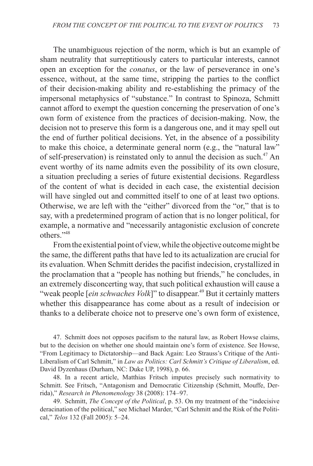The unambiguous rejection of the norm, which is but an example of sham neutrality that surreptitiously caters to particular interests, cannot open an exception for the *conatus*, or the law of perseverance in one's essence, without, at the same time, stripping the parties to the conflict of their decision-making ability and re-establishing the primacy of the impersonal metaphysics of "substance." In contrast to Spinoza, Schmitt cannot afford to exempt the question concerning the preservation of one's own form of existence from the practices of decision-making. Now, the decision not to preserve this form is a dangerous one, and it may spell out the end of further political decisions. Yet, in the absence of a possibility to make this choice, a determinate general norm (e.g., the "natural law" of self-preservation) is reinstated only to annul the decision as such.<sup>47</sup> An event worthy of its name admits even the possibility of its own closure, a situation precluding a series of future existential decisions. Regardless of the content of what is decided in each case, the existential decision will have singled out and committed itself to one of at least two options. Otherwise, we are left with the "either" divorced from the "or," that is to say, with a predetermined program of action that is no longer political, for example, a normative and "necessarily antagonistic exclusion of concrete others."48

From the existential point of view, while the objective outcome might be the same, the different paths that have led to its actualization are crucial for its evaluation. When Schmitt derides the pacifist indecision, crystallized in the proclamation that a "people has nothing but friends," he concludes, in an extremely disconcerting way, that such political exhaustion will cause a "weak people [*ein schwaches Volk*]" to disappear.<sup>49</sup> But it certainly matters whether this disappearance has come about as a result of indecision or thanks to a deliberate choice not to preserve one's own form of existence,

47. Schmitt does not opposes pacifism to the natural law, as Robert Howse claims, but to the decision on whether one should maintain one's form of existence. See Howse, "From Legitimacy to Dictatorship—and Back Again: Leo Strauss's Critique of the Anti-Liberalism of Carl Schmitt," in *Law as Politics: Carl Schmitt's Critique of Liberalism*, ed. David Dyzenhaus (Durham, NC: Duke UP, 1998), p. 66.

48. In a recent article, Matthias Fritsch imputes precisely such normativity to Schmitt. See Fritsch, "Antagonism and Democratic Citizenship (Schmitt, Mouffe, Derrida)," *Research in Phenomenology* 38 (2008): 174–97.

49. Schmitt, *The Concept of the Political*, p. 53. On my treatment of the "indecisive deracination of the political," see Michael Marder, "Carl Schmitt and the Risk of the Political," *Telos* 132 (Fall 2005): 5–24.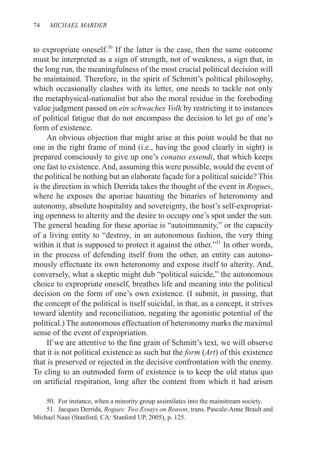to expropriate oneself.<sup>50</sup> If the latter is the case, then the same outcome must be interpreted as a sign of strength, not of weakness, a sign that, in the long run, the meaningfulness of the most crucial political decision will be maintained. Therefore, in the spirit of Schmitt's political philosophy, which occasionally clashes with its letter, one needs to tackle not only the metaphysical-nationalist but also the moral residue in the foreboding value judgment passed on *ein schwaches Volk* by restricting it to instances of political fatigue that do not encompass the decision to let go of one's form of existence.

An obvious objection that might arise at this point would be that no one in the right frame of mind (i.e., having the good clearly in sight) is prepared consciously to give up one's *conatus essendi*, that which keeps one fast to existence. And, assuming this were possible, would the event of the political be nothing but an elaborate façade for a political suicide? This is the direction in which Derrida takes the thought of the event in *Rogues*, where he exposes the aporiae haunting the binaries of heteronomy and autonomy, absolute hospitality and sovereignty, the host's self-expropriating openness to alterity and the desire to occupy one's spot under the sun. The general heading for these aporiae is "autoimmunity," or the capacity of a living entity to "destroy, in an autonomous fashion, the very thing within it that is supposed to protect it against the other."<sup>51</sup> In other words, in the process of defending itself from the other, an entity can autonomously effectuate its own heteronomy and expose itself to alterity. And, conversely, what a skeptic might dub "political suicide," the autonomous choice to expropriate oneself, breathes life and meaning into the political decision on the form of one's own existence. (I submit, in passing, that the concept of the political is itself suicidal, in that, as a concept, it strives toward identity and reconciliation, negating the agonistic potential of the political.) The autonomous effectuation of heteronomy marks the maximal sense of the event of expropriation.

If we are attentive to the fine grain of Schmitt's text, we will observe that it is not political existence as such but the *form* (*Art*) of this existence that is preserved or rejected in the decisive confrontation with the enemy. To cling to an outmoded form of existence is to keep the old status quo on artificial respiration, long after the content from which it had arisen

<sup>50.</sup> For instance, when a minority group assimilates into the mainstream society.

<sup>51.</sup> Jacques Derrida, *Rogues: Two Essays on Reason*, trans. Pascale-Anne Brault and Michael Naas (Stanford, CA: Stanford UP, 2005), p. 125.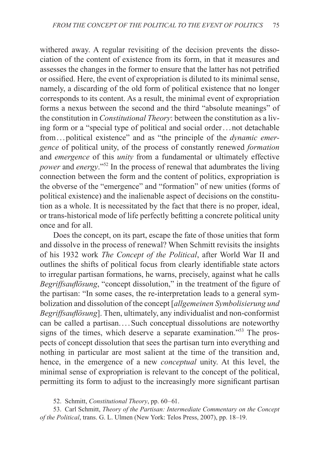withered away. A regular revisiting of the decision prevents the dissociation of the content of existence from its form, in that it measures and assesses the changes in the former to ensure that the latter has not petrified or ossified. Here, the event of expropriation is diluted to its minimal sense, namely, a discarding of the old form of political existence that no longer corresponds to its content. As a result, the minimal event of expropriation forms a nexus between the second and the third "absolute meanings" of the constitution in *Constitutional Theory*: between the constitution as a living form or a "special type of political and social order...not detachable from... political existence" and as "the principle of the *dynamic emergence* of political unity, of the process of constantly renewed *formation* and *emergence* of this *unity* from a fundamental or ultimately effective *power* and *energy*."52 In the process of renewal that adumbrates the living connection between the form and the content of politics, expropriation is the obverse of the "emergence" and "formation" of new unities (forms of political existence) and the inalienable aspect of decisions on the constitution as a whole. It is necessitated by the fact that there is no proper, ideal, or trans-historical mode of life perfectly befitting a concrete political unity once and for all.

Does the concept, on its part, escape the fate of those unities that form and dissolve in the process of renewal? When Schmitt revisits the insights of his 1932 work *The Concept of the Political*, after World War II and outlines the shifts of political focus from clearly identifiable state actors to irregular partisan formations, he warns, precisely, against what he calls *Begriffsauflösung*, "concept dissolution," in the treatment of the figure of the partisan: "In some cases, the re-interpretation leads to a general symbolization and dissolution of the concept [*allgemeinen Symbolisierung und Begriffsauflösung*]. Then, ultimately, any individualist and non-conformist can be called a partisan.... Such conceptual dissolutions are noteworthy signs of the times, which deserve a separate examination."53 The prospects of concept dissolution that sees the partisan turn into everything and nothing in particular are most salient at the time of the transition and, hence, in the emergence of a new *conceptual* unity. At this level, the minimal sense of expropriation is relevant to the concept of the political, permitting its form to adjust to the increasingly more significant partisan

53. Carl Schmitt, *Theory of the Partisan: Intermediate Commentary on the Concept of the Political*, trans. G. L. Ulmen (New York: Telos Press, 2007), pp. 18–19.

<sup>52.</sup> Schmitt, *Constitutional Theory*, pp. 60–61.